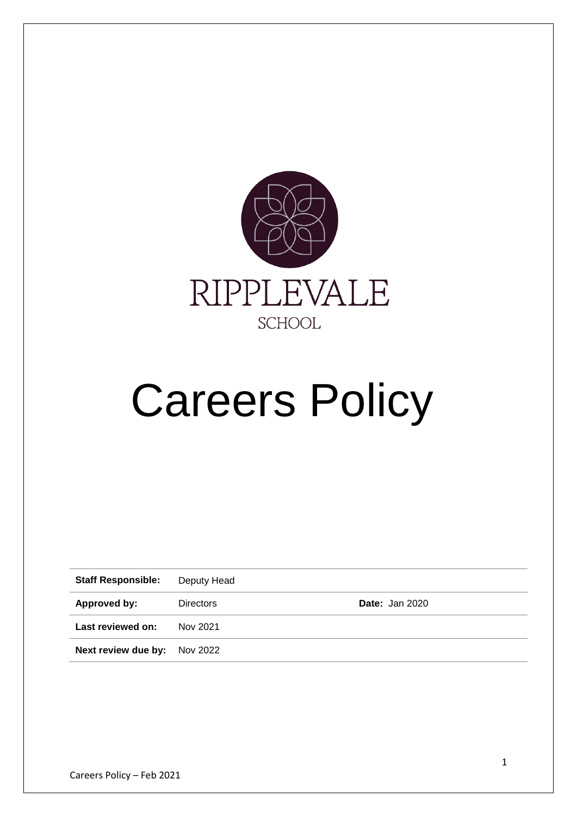

# Careers Policy

| <b>Staff Responsible:</b> | Deputy Head      |                       |
|---------------------------|------------------|-----------------------|
| Approved by:              | <b>Directors</b> | <b>Date: Jan 2020</b> |
| Last reviewed on:         | Nov 2021         |                       |
| Next review due by:       | Nov 2022         |                       |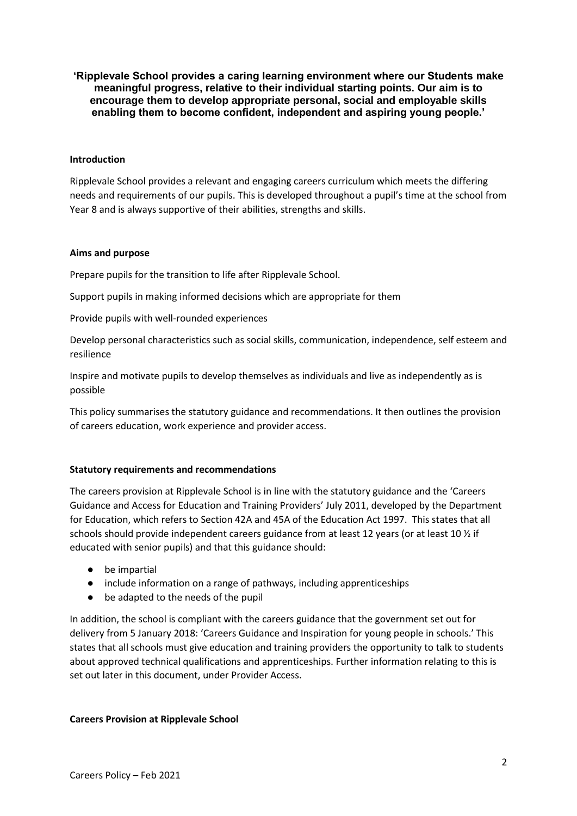**'Ripplevale School provides a caring learning environment where our Students make meaningful progress, relative to their individual starting points. Our aim is to encourage them to develop appropriate personal, social and employable skills enabling them to become confident, independent and aspiring young people.'**

## **Introduction**

Ripplevale School provides a relevant and engaging careers curriculum which meets the differing needs and requirements of our pupils. This is developed throughout a pupil's time at the school from Year 8 and is always supportive of their abilities, strengths and skills.

# **Aims and purpose**

Prepare pupils for the transition to life after Ripplevale School.

Support pupils in making informed decisions which are appropriate for them

Provide pupils with well-rounded experiences

Develop personal characteristics such as social skills, communication, independence, self esteem and resilience

Inspire and motivate pupils to develop themselves as individuals and live as independently as is possible

This policy summarises the statutory guidance and recommendations. It then outlines the provision of careers education, work experience and provider access.

## **Statutory requirements and recommendations**

The careers provision at Ripplevale School is in line with the statutory guidance and the 'Careers Guidance and Access for Education and Training Providers' July 2011, developed by the Department for Education, which refers to Section 42A and 45A of the Education Act 1997. This states that all schools should provide independent careers guidance from at least 12 years (or at least 10 ½ if educated with senior pupils) and that this guidance should:

- be impartial
- include information on a range of pathways, including apprenticeships
- be adapted to the needs of the pupil

In addition, the school is compliant with the careers guidance that the government set out for delivery from 5 January 2018: 'Careers Guidance and Inspiration for young people in schools.' This states that all schools must give education and training providers the opportunity to talk to students about approved technical qualifications and apprenticeships. Further information relating to this is set out later in this document, under Provider Access.

## **Careers Provision at Ripplevale School**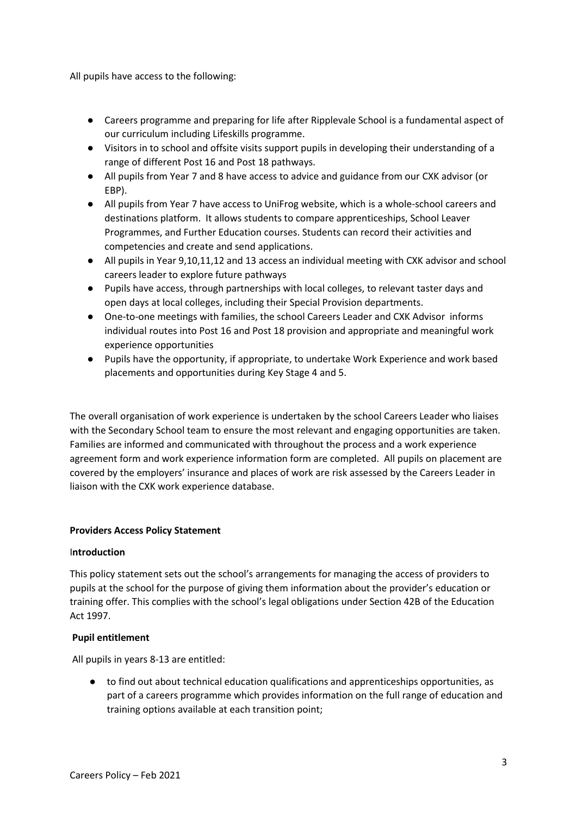All pupils have access to the following:

- Careers programme and preparing for life after Ripplevale School is a fundamental aspect of our curriculum including Lifeskills programme.
- Visitors in to school and offsite visits support pupils in developing their understanding of a range of different Post 16 and Post 18 pathways.
- All pupils from Year 7 and 8 have access to advice and guidance from our CXK advisor (or EBP).
- All pupils from Year 7 have access to UniFrog website, which is a whole-school careers and destinations platform. It allows students to compare apprenticeships, School Leaver Programmes, and Further Education courses. Students can record their activities and competencies and create and send applications.
- All pupils in Year 9,10,11,12 and 13 access an individual meeting with CXK advisor and school careers leader to explore future pathways
- Pupils have access, through partnerships with local colleges, to relevant taster days and open days at local colleges, including their Special Provision departments.
- One-to-one meetings with families, the school Careers Leader and CXK Advisor informs individual routes into Post 16 and Post 18 provision and appropriate and meaningful work experience opportunities
- Pupils have the opportunity, if appropriate, to undertake Work Experience and work based placements and opportunities during Key Stage 4 and 5.

The overall organisation of work experience is undertaken by the school Careers Leader who liaises with the Secondary School team to ensure the most relevant and engaging opportunities are taken. Families are informed and communicated with throughout the process and a work experience agreement form and work experience information form are completed. All pupils on placement are covered by the employers' insurance and places of work are risk assessed by the Careers Leader in liaison with the CXK work experience database.

## **Providers Access Policy Statement**

## I**ntroduction**

This policy statement sets out the school's arrangements for managing the access of providers to pupils at the school for the purpose of giving them information about the provider's education or training offer. This complies with the school's legal obligations under Section 42B of the Education Act 1997.

## **Pupil entitlement**

All pupils in years 8-13 are entitled:

● to find out about technical education qualifications and apprenticeships opportunities, as part of a careers programme which provides information on the full range of education and training options available at each transition point;